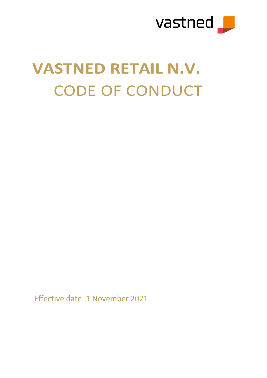

# **VASTNED RETAIL N.V.** CODE OF CONDUCT

Effective date: 1 November 2021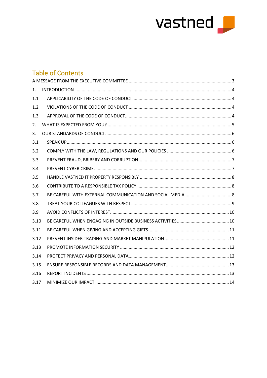

# **Table of Contents**

| 1.   |  |
|------|--|
| 1.1  |  |
| 1.2  |  |
| 1.3  |  |
| 2.   |  |
| 3.   |  |
| 3.1  |  |
| 3.2  |  |
| 3.3  |  |
| 3.4  |  |
| 3.5  |  |
| 3.6  |  |
| 3.7  |  |
| 3.8  |  |
| 3.9  |  |
| 3.10 |  |
| 3.11 |  |
| 3.12 |  |
| 3.13 |  |
| 3.14 |  |
| 3.15 |  |
| 3.16 |  |
| 3.17 |  |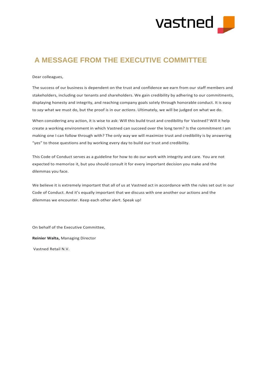

## <span id="page-2-0"></span>**A MESSAGE FROM THE EXECUTIVE COMMITTEE**

Dear colleagues,

The success of our business is dependent on the trust and confidence we earn from our staff members and stakeholders, including our tenants and shareholders. We gain credibility by adhering to our commitments, displaying honesty and integrity, and reaching company goals solely through honorable conduct. It is easy to *say* what we must do, but the proof is in our *actions*. Ultimately, we will be judged on what we do.

When considering any action, it is wise to ask: Will this build trust and credibility for Vastned? Will it help create a working environment in which Vastned can succeed over the long term? Is the commitment I am making one I can follow through with? The only way we will maximize trust and credibility is by answering "yes" to those questions and by working every day to build our trust and credibility.

This Code of Conduct serves as a guideline for how to do our work with integrity and care. You are not expected to memorize it, but you should consult it for every important decision you make and the dilemmas you face.

We believe it is extremely important that all of us at Vastned act in accordance with the rules set out in our Code of Conduct. And it's equally important that we discuss with one another our actions and the dilemmas we encounter. Keep each other alert. Speak up!

On behalf of the Executive Committee,

**Reinier Walta,** Managing Director

Vastned Retail N.V.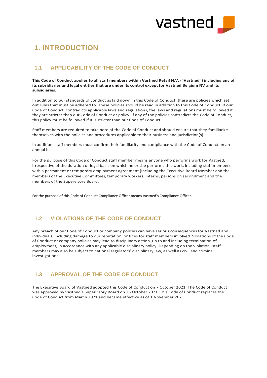

# <span id="page-3-0"></span>**1. INTRODUCTION**

## <span id="page-3-1"></span>**1.1 APPLICABILITY OF THE CODE OF CONDUCT**

**This Code of Conduct applies to all staff members within Vastned Retail N.V. ("Vastned") including any of its subsidiaries and legal entities that are under its control except for Vastned Belgium NV and its subsidiaries.**

In addition to our standards of conduct as laid down in this Code of Conduct, there are policies which set out rules that must be adhered to. These policies should be read in addition to this Code of Conduct. If our Code of Conduct, contradicts applicable laws and regulations, the laws and regulations must be followed if they are stricter than our Code of Conduct or policy. If any of the policies contradicts the Code of Conduct, this policy must be followed if it is stricter than our Code of Conduct.

Staff members are required to take note of the Code of Conduct and should ensure that they familiarize themselves with the policies and procedures applicable to their business and jurisdiction(s).

In addition, staff members must confirm their familiarity and compliance with the Code of Conduct on an annual basis.

For the purpose of this Code of Conduct staff member means anyone who performs work for Vastned, irrespective of the duration or legal basis on which he or she performs this work, including staff members with a permanent or temporary employment agreement (including the Executive Board Member and the members of the Executive Committee), temporary workers, interns, persons on secondment and the members of the Supervisory Board.

For the purpose of this Code of Conduct Compliance Officer means Vastned's Compliance Officer.

## <span id="page-3-2"></span>**1.2 VIOLATIONS OF THE CODE OF CONDUCT**

Any breach of our Code of Conduct or company policies can have serious consequences for Vastned and individuals, including damage to our reputation, or fines for staff members involved. Violations of the Code of Conduct or company policies may lead to disciplinary action, up to and including termination of employment, in accordance with any applicable disciplinary policy. Depending on the violation, staff members may also be subject to national regulators' disciplinary law, as well as civil and criminal investigations.

## <span id="page-3-3"></span>**1.3 APPROVAL OF THE CODE OF CONDUCT**

The Executive Board of Vastned adopted this Code of Conduct on 7 October 2021. The Code of Conduct was approved by Vastned's Supervisory Board on 26 October 2021. This Code of Conduct replaces the Code of Conduct from March 2021 and became effective as of 1 November 2021.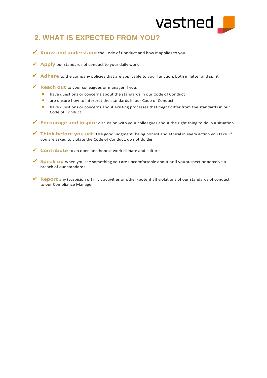

# <span id="page-4-0"></span>**2. WHAT IS EXPECTED FROM YOU?**

- ✓ **Know and understand** the Code of Conduct and how it applies to you
- **✓ Apply** our standards of conduct to your daily work
- ✓ **Adhere** to the company policies that are applicable to your function, both in letter and spirit
- ✓ **Reach out** to your colleagues or manager if you:
	- have questions or concerns about the standards in our Code of Conduct
	- are unsure how to interpret the standards in our Code of Conduct
	- have questions or concerns about existing processes that might differ from the standards in our Code of Conduct
- ✓ **Encourage and inspire** discussion with your colleagues about the right thing to do in a situation
- ✓ **Think before you act.** Use good judgment, being honest and ethical in every action you take. If you are asked to violate the Code of Conduct, do not do this
- ✓ **Contribute** to an open and honest work climate and culture
- ✓ **Speak up** when you see something you are uncomfortable about or if you suspect or perceive a breach of our standards
- ✓ **Report** any (suspicion of) illicit activities or other (potential) violations of our standards of conduct to our Compliance Manager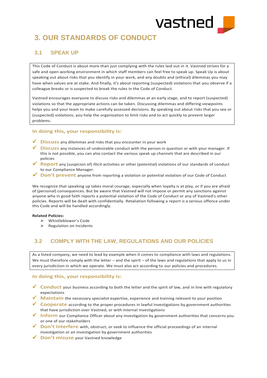

# <span id="page-5-0"></span>**3. OUR STANDARDS OF CONDUCT**

## <span id="page-5-1"></span>**3.1 SPEAK UP**

This Code of Conduct is about more than just complying with the rules laid out in it. Vastned strives for a safe and open working environment in which staff members can feel free to speak up. Speak Up is about speaking out about risks that you identify in your work, and any doubts and (ethical) dilemmas you may have when values are at stake. And finally, it's about reporting (suspected) violations that you observe if a colleague breaks or is suspected to break the rules in the Code of Conduct.

Vastned encourages everyone to discuss risks and dilemmas at an early stage, and to report (suspected) violations so that the appropriate actions can be taken. Discussing dilemmas and differing viewpoints helps you and your team to make carefully assessed decisions. By speaking out about risks that you see or (suspected) violations, you help the organization to limit risks and to act quickly to prevent larger problems.

#### **In doing this, your responsibility is:**

- ✓ **Discuss** any dilemmas and risks that you encounter in your work
- ✓ **Discuss** any instances of undesirable conduct with the person in question or with your manager. If this is not possible, you can also contact the various speak up channels that are described in our policies
- ✓ **Report** any (suspicion of) illicit activities or other (potential) violations of our standards of conduct to our Compliance Manager.
- **Don't prevent** anyone from reporting a violation or potential violation of our Code of Conduct

We recognize that speaking up takes moral courage, especially when loyalty is at play, or if you are afraid of (personal) consequences. But be aware that Vastned will not impose or permit any sanctions against anyone who in good faith reports a potential violation of the Code of Conduct or any of Vastned's other policies. Reports will be dealt with confidentially. Retaliation following a report is a serious offence under this Code and will be handled accordingly.

#### **Related Policies:**

- ➢ Whistleblower's Code
- ➢ Regulation on Incidents

## <span id="page-5-2"></span>**3.2 COMPLY WITH THE LAW, REGULATIONS AND OUR POLICIES**

As a listed company, we need to lead by example when it comes to compliance with laws and regulations. We must therefore comply with the letter – and the spirit – of the laws and regulations that apply to us in every jurisdiction in which we operate. We must also act according to our policies and procedures.

#### **In doing this, your responsibility is:**

- ✓ **Conduct** your business according to both the letter and the spirit of law, and in line with regulatory expectations
- ✓ **Maintain** the necessary specialist expertise, experience and training relevant to your position
- ✓ **Cooperate** according to the proper procedures in lawful investigations by government authorities that have jurisdiction over Vastned, or with internal investigations
- **✓ Inform** our Compliance Officer about any investigation by government authorities that concerns you or one of our stakeholders
- ✓ **Don't interfere** with, obstruct, or seek to influence the official proceedings of an internal investigation or an investigation by government authorities
- ✓ **Don't misuse** your Vastned knowledge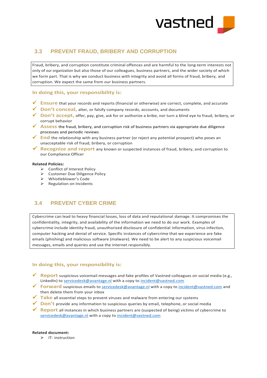

## <span id="page-6-0"></span>**3.3 PREVENT FRAUD, BRIBERY AND CORRUPTION**

Fraud, bribery, and corruption constitute criminal offences and are harmful to the long-term interests not only of our organization but also those of our colleagues, business partners, and the wider society of which we form part. That is why we conduct business with integrity and avoid all forms of fraud, bribery, and corruption. We expect the same from our business partners.

#### **In doing this, your responsibility is:**

- ✓ **Ensure** that your records and reports (financial or otherwise) are correct, complete, and accurate
- ✓ **Don't conceal,** alter, or falsify company records, accounts, and documents
- ✓ **Don't accept,** offer, pay, give, ask for or authorize a bribe, nor turn a blind eye to fraud, bribery, or corrupt behavior
- ✓ **Assess** the fraud, bribery, and corruption risk of business partners via appropriate due diligence processes and periodic reviews
- ✓ **End** the relationship with any business partner (or reject any potential prospect) who poses an unacceptable risk of fraud, bribery, or corruption
- ✓ **Recognize and report** any known or suspected instances of fraud, bribery, and corruption to our Compliance Officer

#### **Related Policies:**

- ➢ Conflict of Interest Policy
- ➢ Customer Due Diligence Policy
- ➢ Whistleblower's Code
- ➢ Regulation on Incidents

## <span id="page-6-1"></span>**3.4 PREVENT CYBER CRIME**

Cybercrime can lead to heavy financial losses, loss of data and reputational damage. It compromises the confidentiality, integrity, and availability of the information we need to do our work. Examples of cybercrime include identity fraud, unauthorized disclosure of confidential information, virus infection, computer hacking and denial of service. Specific instances of cybercrime that we experience are fake emails (phishing) and malicious software (malware). We need to be alert to any suspicious voicemail messages, emails and queries and use the internet responsibly.

#### **In doing this, your responsibility is:**

- ✓ **Report** suspicious voicemail messages and fake profiles of Vastned colleagues on social media (e.g., LinkedIn) to [servicedesk@avantage.nl](mailto:servicedesk@avantage.nl) with a copy to [incident@vastned.com](mailto:incident@vastned.com)
- ✓ **Forward** suspicious emails to [servicedesk@avantage.nl](mailto:servicedesk@avantage.nl) with a copy to [incident@vastned.com](mailto:incident@vastned.com) and then delete them from your inbox
- ✓ **Take** all essential steps to prevent viruses and malware from entering our systems
- ✓ **Don't** provide any information to suspicious queries by email, telephone, or social media
- ✓ **Report** all instances in which business partners are (suspected of being) victims of cybercrime to [servicedesk@avantage.nl](mailto:servicedesk@avantage.nl) with a copy to [incident@vastned.com](mailto:incident@vastned.com)

#### **Related document:**

➢ IT- instruction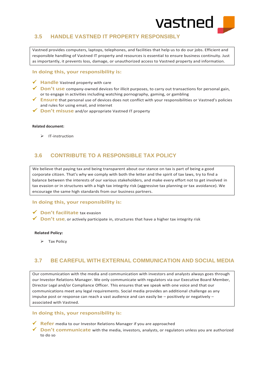

## <span id="page-7-0"></span>**3.5 HANDLE VASTNED IT PROPERTY RESPONSIBLY**

Vastned provides computers, laptops, telephones, and facilities that help us to do our jobs. Efficient and responsible handling of Vastned IT property and resources is essential to ensure business continuity. Just as importantly, it prevents loss, damage, or unauthorized access to Vastned property and information.

#### **In doing this, your responsibility is:**

- ✓ **Handle** Vastned property with care
- ✓ **Don't use** company-owned devices for illicit purposes, to carry out transactions for personal gain, or to engage in activities including watching pornography, gaming, or gambling
- ✓ **Ensure** that personal use of devices does not conflict with your responsibilities or Vastned's policies and rules for using email, and internet
- ✓ **Don't misuse** and/or appropriate Vastned IT property

#### **Related document:**

➢ IT-instruction

## <span id="page-7-1"></span>**3.6 CONTRIBUTE TO A RESPONSIBLE TAX POLICY**

We believe that paying tax and being transparent about our stance on tax is part of being a good corporate citizen. That's why we comply with both the letter and the spirit of tax laws, try to find a balance between the interests of our various stakeholders, and make every effort not to get involved in tax evasion or in structures with a high tax integrity risk (aggressive tax planning or tax avoidance). We encourage the same high standards from our business partners.

#### In doing this, your responsibility is:

#### ✓ **Don't facilitate** tax evasion

✓ **Don't use**, or actively participate in, structures that have a higher tax integrity risk

#### **Related Policy:**

➢ Tax Policy

## <span id="page-7-2"></span>**3.7 BE CAREFUL WITH EXTERNAL COMMUNICATION AND SOCIAL MEDIA**

Our communication with the media and communication with investors and analysts always goes through our Investor Relations Manager. We only communicate with regulators via our Executive Board Member, Director Legal and/or Compliance Officer. This ensures that we speak with one voice and that our communications meet any legal requirements. Social media provides an additional challenge as any impulse post or response can reach a vast audience and can easily be – positively or negatively – associated with Vastned.

#### **In doing this, your responsibility is: doing this, your responsibility is:**

- ✓ **Refer** media to our Investor Relations Manager if you are approached
- ✓ **Don't communicate** with the media, investors, analysts, or regulators unless you are authorized to do so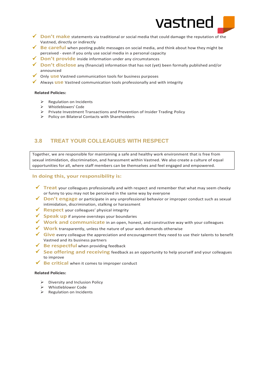

- ✓ **Don't make** statements via traditional or social media that could damage the reputation of the Vastned, directly or indirectly
- ✓ **Be careful** when posting public messages on social media, and think about how they might be perceived - even if you only use social media in a personal capacity
- ✓ **Don't provide** inside information under any circumstances
- ✓ **Don't disclose** any (financial) information that has not (yet) been formally published and/or announced
- ✓ Only **use** Vastned communication tools for business purposes
- ✓ Always **use** Vastned communication tools professionally and with integrity

#### **Related Policies:**

- ➢ Regulation on Incidents
- ➢ Whistleblowers' Code
- ➢ Private Investment Transactions and Prevention of Insider Trading Policy
- ➢ Policy on Bilateral Contacts with Shareholders

## <span id="page-8-0"></span>**3.8 TREAT YOUR COLLEAGUES WITH RESPECT**

Together, we are responsible for maintaining a safe and healthy work environment that is free from sexual intimidation, discrimination, and harassment within Vastned. We also create a culture of equal opportunities for all, where staff members can be themselves and feel engaged and empowered.

#### In doing this, your responsibility is:

- ✓ **Treat** your colleagues professionally and with respect and remember that what may seem cheeky or funny to you may not be perceived in the same way by everyone
- ✓ **Don't engage** or participate in any unprofessional behavior or improper conduct such as sexual intimidation, discrimination, stalking or harassment
- ✓ **Respect** your colleagues' physical integrity
- ✓ **Speak up** if anyone oversteps your boundaries
- ✓ **Work and communicate** in an open, honest, and constructive way with your colleagues
- ✓ **Work** transparently, unless the nature of your work demands otherwise
- ✓ **Give** every colleague the appreciation and encouragement they need to use their talents to benefit Vastned and its business partners
- ✓ **Be respectful** when providing feedback
- ✓ **See offering and receiving** feedback as an opportunity to help yourself and your colleagues to improve
- ✓ **Be critical** when it comes to improper conduct

#### **Related Policies:**

- ➢ Diversity and Inclusion Policy
- ➢ Whistleblower Code
- ➢ Regulation on Incidents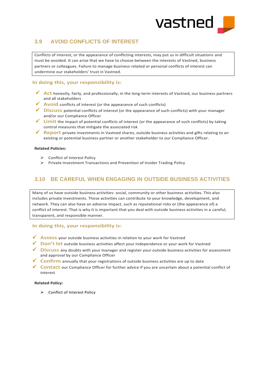

## <span id="page-9-0"></span>**3.9 AVOID CONFLICTS OF INTEREST**

Conflicts of interest, or the appearance of conflicting interests, may put us in difficult situations and must be avoided. It can arise that we have to choose between the interests of Vastned, business partners or colleagues. Failure to manage business-related or personal conflicts of interest can undermine our stakeholders' trust in Vastned.

#### In doing this, your responsibility is:

- ✓ **Act** honestly, fairly, and professionally, in the long-term interests of Vastned, our business partners and all stakeholders
- ✓ **Avoid** conflicts of interest (or the appearance of such conflicts)
- ✓ **Discuss** potential conflicts of interest (or the appearance of such conflicts) with your manager and/or our Compliance Officer
- ✓ **Limit** the impact of potential conflicts of interest (or the appearance of such conflicts) by taking control measures that mitigate the associated risk
- ✓ **Report** private investments in Vastned shares, outside business activities and gifts relating to an existing or potential business partner or another stakeholder to our Compliance Officer.

#### **Related Policies:**

- ➢ Conflict of Interest Policy
- ➢ Private Investment Transactions and Prevention of Insider Trading Policy

## <span id="page-9-1"></span>**3.10 BE CAREFUL WHEN ENGAGING IN OUTSIDE BUSINESS ACTIVITIES**

Many of us have outside business activities: social, community or other business activities. This also includes private investments. These activities can contribute to your knowledge, development, and network. They can also have an adverse impact, such as reputational risks or (the appearance of) a conflict of interest. That is why it is important that you deal with outside business activities in a careful, transparent, and responsible manner.

#### In doing this, your responsibility is:

- ✓ **Assess** your outside business activities in relation to your work for Vastned
- ✓ **Don't let** outside business activities affect your independence or your work for Vastned
- ✓ **Discuss** any doubts with your manager and register your outside business activities for assessment and approval by our Compliance Officer
- ✓ **Confirm** annually that your registrations of outside business activities are up to date
- ✓ **Contact** our Compliance Officer for further advice if you are uncertain about a potential conflict of interest

#### **Related Policy:**

➢ Conflict of Interest Policy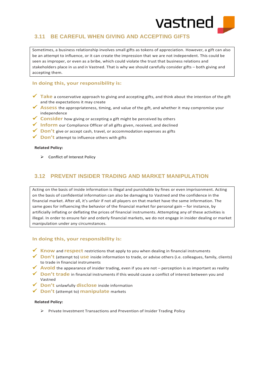

## <span id="page-10-0"></span>**3.11 BE CAREFUL WHEN GIVING AND ACCEPTING GIFTS**

Sometimes, a business relationship involves small gifts as tokens of appreciation. However, a gift can also be an attempt to influence, or it can create the impression that we are not independent. This could be seen as improper, or even as a bribe, which could violate the trust that business relations and stakeholders place in us and in Vastned. That is why we should carefully consider gifts – both giving and accepting them.

#### In doing this, your responsibility is:

- ✓ **Take** a conservative approach to giving and accepting gifts, and think about the intention of the gift and the expectations it may create
- ✓ **Assess** the appropriateness, timing, and value of the gift, and whether it may compromise your independence
- ✓ **Consider** how giving or accepting a gift might be perceived by others
- ✓ **Inform** our Compliance Officer of all gifts given, received, and declined
- ✓ **Don't** give or accept cash, travel, or accommodation expenses as gifts
- ✓ **Don't** attempt to influence others with gifts

#### **Related Policy:**

➢ Conflict of Interest Policy

## <span id="page-10-1"></span>**3.12 PREVENT INSIDER TRADING AND MARKET MANIPULATION**

Acting on the basis of inside information is illegal and punishable by fines or even imprisonment. Acting on the basis of confidential information can also be damaging to Vastned and the confidence in the financial market. After all, it's unfair if not all players on that market have the same information. The same goes for influencing the behavior of the financial market for personal gain – for instance, by artificially inflating or deflating the prices of financial instruments. Attempting any of these activities is illegal. In order to ensure fair and orderly financial markets, we do not engage in insider dealing or market manipulation under any circumstances.

#### In doing this, your responsibility is:

- ✓ **Know** and **respect** restrictions that apply to you when dealing in financial instruments
- ✓ **Don't** (attempt to) **use** inside information to trade, or advise others (i.e. colleagues, family, clients) to trade in financial instruments
- ✓ **Avoid** the appearance of insider trading, even if you are not perception is as important as reality
- ✓ **Don't trade** in financial instruments if this would cause a conflict of interest between you and Vastned
- ✓ **Don't** unlawfully **disclose** inside information
- ✓ **Don't** (attempt to) **manipulate** markets

#### **Related Policy:**

➢ Private Investment Transactions and Prevention of Insider Trading Policy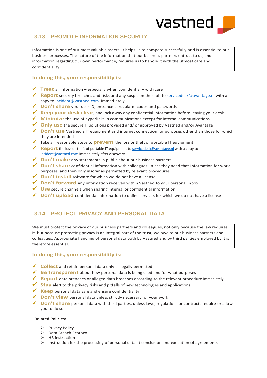

## <span id="page-11-0"></span>**3.13 PROMOTE INFORMATION SECURITY**

Information is one of our most valuable assets: it helps us to compete successfully and is essential to our business processes. The nature of the information that our business partners entrust to us, and information regarding our own performance, requires us to handle it with the utmost care and confidentiality.

### **In doing this, your responsibility is:**

- $\checkmark$  **Treat** all information especially when confidential with care
- ✓ **Report** security breaches and risks and any suspicion thereof, to [servicedesk@avantage.nl](mailto:servicedesk@avantage.nl) with a copy t[o incident@vastned.com](mailto:incident@vastned.com) immediately
- ✓ **Don't share** your user ID, entrance card, alarm codes and passwords
- ✓ **Keep your desk clear**, and lock away any confidential information before leaving your desk
- ✓ **Minimize** the use of hyperlinks in communications except for internal communications
- ✓ **Only use** the secure IT solutions provided and/ or approved by Vastned and/or Avantage
- ✓ **Don't use** Vastned's IT equipment and internet connection for purposes other than those for which they are intended
- ✓ Take all reasonable steps to **prevent** the loss or theft of portable IT equipment
- ✓ **Report** the loss or theft of portable IT equipment to [servicedesk@avantage.nl](mailto:servicedesk@avantage.nl) with a copy to [incident@vastned.com](mailto:incident@vastned.com) immediately after discovery
- ✓ **Don't make** any statements in public about our business partners
- ✓ **Don't share** confidential information with colleagues unless they need that information for work purposes, and then only insofar as permitted by relevant procedures
- ✓ **Don't install** software for which we do not have a license
- ✓ **Don't forward** any information received within Vastned to your personal inbox
- ✓ **Use** secure channels when sharing internal or confidential information
- ✓ **Don't upload** confidential information to online services for which we do not have a license

## <span id="page-11-1"></span>**3.14 PROTECT PRIVACY AND PERSONAL DATA**

We must protect the privacy of our business partners and colleagues, not only because the law requires it, but because protecting privacy is an integral part of the trust, we owe to our business partners and colleagues. Appropriate handling of personal data both by Vastned and by third parties employed by it is therefore essential.

#### **In doing this, your responsibility is:**

- ✓ **Collect** and retain personal data only as legally permitted
- ✓ **Be transparent** about how personal data is being used and for what purposes
- ✓ **Report** data breaches or alleged data breaches according to the relevant procedure immediately
- ✓ **Stay** alert to the privacy risks and pitfalls of new technologies and applications
- ✓ **Keep** personal data safe and ensure confidentiality
- ✓ **Don't view** personal data unless strictly necessary for your work
- ✓ **Don't share** personal data with third parties, unless laws, regulations or contracts require or allow you to do so

#### **Related Policies:**

- ➢ Privacy Policy
- ➢ Data Breach Protocol
- ➢ HR instruction
- $\triangleright$  Instruction for the processing of personal data at conclusion and execution of agreements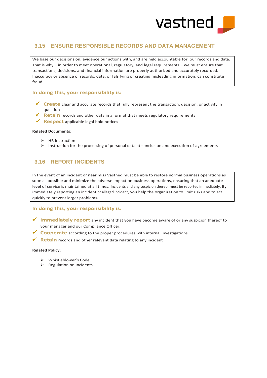

## <span id="page-12-0"></span>**3.15 ENSURE RESPONSIBLE RECORDS AND DATA MANAGEMENT**

We base our decisions on, evidence our actions with, and are held accountable for, our records and data. That is why – in order to meet operational, regulatory, and legal requirements – we must ensure that transactions, decisions, and financial information are properly authorized and accurately recorded. Inaccuracy or absence of records, data, or falsifying or creating misleading information, can constitute fraud.

#### In doing this, your responsibility is:

- ✓ **Create** clear and accurate records that fully represent the transaction, decision, or activity in question
- ✓ **Retain** records and other data in a format that meets regulatory requirements
- ✓ **Respect** applicable legal hold notices

#### **Related Documents:**

- ➢ HR Instruction
- $\triangleright$  Instruction for the processing of personal data at conclusion and execution of agreements

## <span id="page-12-1"></span>**3.16 REPORT INCIDENTS**

In the event of an incident or near miss Vastned must be able to restore normal business operations as soon as possible and minimize the adverse impact on business operations, ensuring that an adequate level of service is maintained at all times. Incidents and any suspicion thereof must be reported immediately. By immediately reporting an incident or alleged incident, you help the organization to limit risks and to act quickly to prevent larger problems.

#### In doing this, your responsibility is:

- ✓ **Immediately report** any incident that you have become aware of or any suspicion thereof to your manager and our Compliance Officer.
- ✓ **Cooperate** according to the proper procedures with internal investigations
- ✓ **Retain** records and other relevant data relating to any incident

#### **Related Policy:**

- ➢ Whistleblower's Code
- ➢ Regulation on Incidents